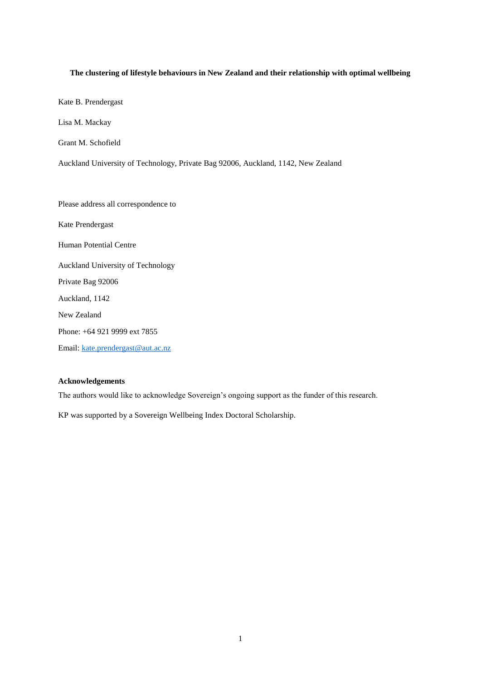# **The clustering of lifestyle behaviours in New Zealand and their relationship with optimal wellbeing**

Kate B. Prendergast

Lisa M. Mackay

Grant M. Schofield

Auckland University of Technology, Private Bag 92006, Auckland, 1142, New Zealand

Please address all correspondence to Kate Prendergast Human Potential Centre Auckland University of Technology Private Bag 92006 Auckland, 1142 New Zealand Phone: +64 921 9999 ext 7855 Email: [kate.prendergast@aut.ac.nz](mailto:kate.prendergast@aut.ac.nz)

# **Acknowledgements**

The authors would like to acknowledge Sovereign's ongoing support as the funder of this research.

KP was supported by a Sovereign Wellbeing Index Doctoral Scholarship.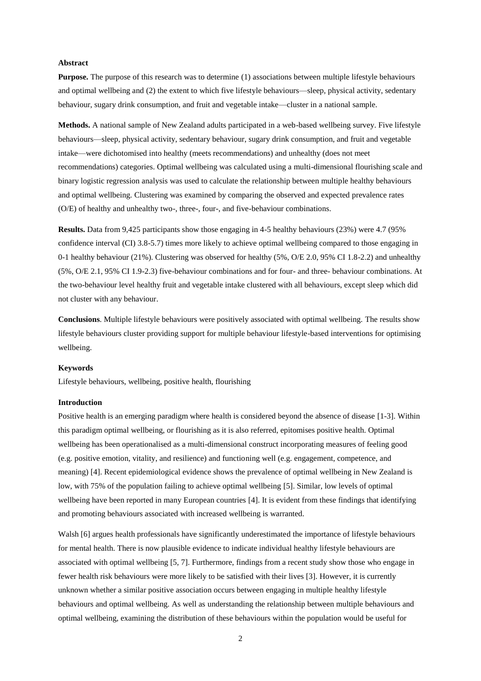### **Abstract**

**Purpose.** The purpose of this research was to determine (1) associations between multiple lifestyle behaviours and optimal wellbeing and (2) the extent to which five lifestyle behaviours—sleep, physical activity, sedentary behaviour, sugary drink consumption, and fruit and vegetable intake—cluster in a national sample.

**Methods.** A national sample of New Zealand adults participated in a web-based wellbeing survey. Five lifestyle behaviours—sleep, physical activity, sedentary behaviour, sugary drink consumption, and fruit and vegetable intake—were dichotomised into healthy (meets recommendations) and unhealthy (does not meet recommendations) categories. Optimal wellbeing was calculated using a multi-dimensional flourishing scale and binary logistic regression analysis was used to calculate the relationship between multiple healthy behaviours and optimal wellbeing. Clustering was examined by comparing the observed and expected prevalence rates (O/E) of healthy and unhealthy two-, three-, four-, and five-behaviour combinations.

**Results.** Data from 9,425 participants show those engaging in 4-5 healthy behaviours (23%) were 4.7 (95% confidence interval (CI) 3.8-5.7) times more likely to achieve optimal wellbeing compared to those engaging in 0-1 healthy behaviour (21%). Clustering was observed for healthy (5%, O/E 2.0, 95% CI 1.8-2.2) and unhealthy (5%, O/E 2.1, 95% CI 1.9-2.3) five-behaviour combinations and for four- and three- behaviour combinations. At the two-behaviour level healthy fruit and vegetable intake clustered with all behaviours, except sleep which did not cluster with any behaviour.

**Conclusions**. Multiple lifestyle behaviours were positively associated with optimal wellbeing. The results show lifestyle behaviours cluster providing support for multiple behaviour lifestyle-based interventions for optimising wellbeing.

# **Keywords**

Lifestyle behaviours, wellbeing, positive health, flourishing

# **Introduction**

Positive health is an emerging paradigm where health is considered beyond the absence of disease [1-3]. Within this paradigm optimal wellbeing, or flourishing as it is also referred, epitomises positive health. Optimal wellbeing has been operationalised as a multi-dimensional construct incorporating measures of feeling good (e.g. positive emotion, vitality, and resilience) and functioning well (e.g. engagement, competence, and meaning) [4]. Recent epidemiological evidence shows the prevalence of optimal wellbeing in New Zealand is low, with 75% of the population failing to achieve optimal wellbeing [5]. Similar, low levels of optimal wellbeing have been reported in many European countries [4]. It is evident from these findings that identifying and promoting behaviours associated with increased wellbeing is warranted.

Walsh [6] argues health professionals have significantly underestimated the importance of lifestyle behaviours for mental health. There is now plausible evidence to indicate individual healthy lifestyle behaviours are associated with optimal wellbeing [5, 7]. Furthermore, findings from a recent study show those who engage in fewer health risk behaviours were more likely to be satisfied with their lives [3]. However, it is currently unknown whether a similar positive association occurs between engaging in multiple healthy lifestyle behaviours and optimal wellbeing. As well as understanding the relationship between multiple behaviours and optimal wellbeing, examining the distribution of these behaviours within the population would be useful for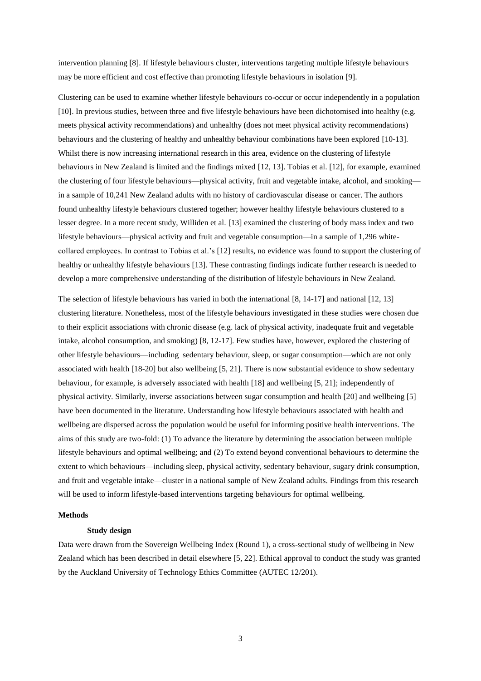intervention planning [8]. If lifestyle behaviours cluster, interventions targeting multiple lifestyle behaviours may be more efficient and cost effective than promoting lifestyle behaviours in isolation [9].

Clustering can be used to examine whether lifestyle behaviours co-occur or occur independently in a population [10]. In previous studies, between three and five lifestyle behaviours have been dichotomised into healthy (e.g. meets physical activity recommendations) and unhealthy (does not meet physical activity recommendations) behaviours and the clustering of healthy and unhealthy behaviour combinations have been explored [10-13]. Whilst there is now increasing international research in this area, evidence on the clustering of lifestyle behaviours in New Zealand is limited and the findings mixed [12, 13]. Tobias et al. [12], for example, examined the clustering of four lifestyle behaviours—physical activity, fruit and vegetable intake, alcohol, and smoking in a sample of 10,241 New Zealand adults with no history of cardiovascular disease or cancer. The authors found unhealthy lifestyle behaviours clustered together; however healthy lifestyle behaviours clustered to a lesser degree. In a more recent study, Williden et al. [13] examined the clustering of body mass index and two lifestyle behaviours—physical activity and fruit and vegetable consumption—in a sample of 1,296 whitecollared employees. In contrast to Tobias et al.'s [12] results, no evidence was found to support the clustering of healthy or unhealthy lifestyle behaviours [13]. These contrasting findings indicate further research is needed to develop a more comprehensive understanding of the distribution of lifestyle behaviours in New Zealand.

The selection of lifestyle behaviours has varied in both the international [8, 14-17] and national [12, 13] clustering literature. Nonetheless, most of the lifestyle behaviours investigated in these studies were chosen due to their explicit associations with chronic disease (e.g. lack of physical activity, inadequate fruit and vegetable intake, alcohol consumption, and smoking) [8, 12-17]. Few studies have, however, explored the clustering of other lifestyle behaviours—including sedentary behaviour, sleep, or sugar consumption—which are not only associated with health [18-20] but also wellbeing [5, 21]. There is now substantial evidence to show sedentary behaviour, for example, is adversely associated with health [18] and wellbeing [5, 21]; independently of physical activity. Similarly, inverse associations between sugar consumption and health [20] and wellbeing [5] have been documented in the literature. Understanding how lifestyle behaviours associated with health and wellbeing are dispersed across the population would be useful for informing positive health interventions. The aims of this study are two-fold: (1) To advance the literature by determining the association between multiple lifestyle behaviours and optimal wellbeing; and (2) To extend beyond conventional behaviours to determine the extent to which behaviours—including sleep, physical activity, sedentary behaviour, sugary drink consumption, and fruit and vegetable intake—cluster in a national sample of New Zealand adults. Findings from this research will be used to inform lifestyle-based interventions targeting behaviours for optimal wellbeing.

### **Methods**

#### **Study design**

Data were drawn from the Sovereign Wellbeing Index (Round 1), a cross-sectional study of wellbeing in New Zealand which has been described in detail elsewhere [5, 22]. Ethical approval to conduct the study was granted by the Auckland University of Technology Ethics Committee (AUTEC 12/201).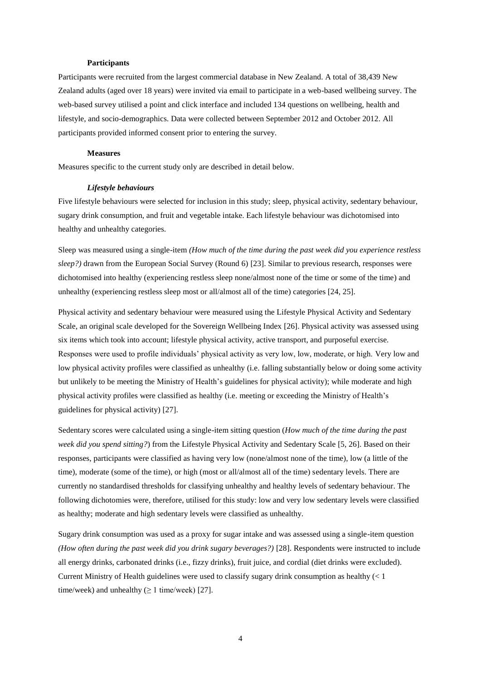### **Participants**

Participants were recruited from the largest commercial database in New Zealand. A total of 38,439 New Zealand adults (aged over 18 years) were invited via email to participate in a web-based wellbeing survey. The web-based survey utilised a point and click interface and included 134 questions on wellbeing, health and lifestyle, and socio-demographics. Data were collected between September 2012 and October 2012. All participants provided informed consent prior to entering the survey.

#### **Measures**

Measures specific to the current study only are described in detail below.

### *Lifestyle behaviours*

Five lifestyle behaviours were selected for inclusion in this study; sleep, physical activity, sedentary behaviour, sugary drink consumption, and fruit and vegetable intake. Each lifestyle behaviour was dichotomised into healthy and unhealthy categories.

Sleep was measured using a single-item *(How much of the time during the past week did you experience restless sleep?)* drawn from the European Social Survey (Round 6) [23]. Similar to previous research, responses were dichotomised into healthy (experiencing restless sleep none/almost none of the time or some of the time) and unhealthy (experiencing restless sleep most or all/almost all of the time) categories [24, 25].

Physical activity and sedentary behaviour were measured using the Lifestyle Physical Activity and Sedentary Scale, an original scale developed for the Sovereign Wellbeing Index [26]. Physical activity was assessed using six items which took into account; lifestyle physical activity, active transport, and purposeful exercise. Responses were used to profile individuals' physical activity as very low, low, moderate, or high. Very low and low physical activity profiles were classified as unhealthy (i.e. falling substantially below or doing some activity but unlikely to be meeting the Ministry of Health's guidelines for physical activity); while moderate and high physical activity profiles were classified as healthy (i.e. meeting or exceeding the Ministry of Health's guidelines for physical activity) [27].

Sedentary scores were calculated using a single-item sitting question (*How much of the time during the past week did you spend sitting?*) from the Lifestyle Physical Activity and Sedentary Scale [5, 26]. Based on their responses, participants were classified as having very low (none/almost none of the time), low (a little of the time), moderate (some of the time), or high (most or all/almost all of the time) sedentary levels. There are currently no standardised thresholds for classifying unhealthy and healthy levels of sedentary behaviour. The following dichotomies were, therefore, utilised for this study: low and very low sedentary levels were classified as healthy; moderate and high sedentary levels were classified as unhealthy.

Sugary drink consumption was used as a proxy for sugar intake and was assessed using a single-item question *(How often during the past week did you drink sugary beverages?)* [28]. Respondents were instructed to include all energy drinks, carbonated drinks (i.e., fizzy drinks), fruit juice, and cordial (diet drinks were excluded). Current Ministry of Health guidelines were used to classify sugary drink consumption as healthy  $\left($  < 1 time/week) and unhealthy  $(≥ 1$  time/week) [27].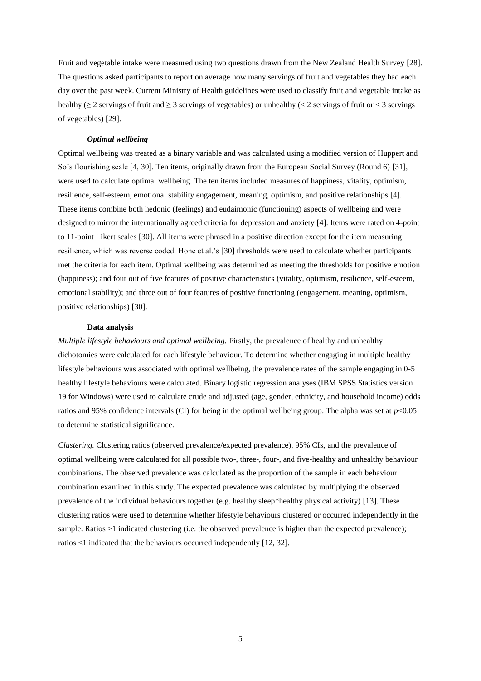Fruit and vegetable intake were measured using two questions drawn from the New Zealand Health Survey [28]. The questions asked participants to report on average how many servings of fruit and vegetables they had each day over the past week. Current Ministry of Health guidelines were used to classify fruit and vegetable intake as healthy ( $\geq$  2 servings of fruit and  $\geq$  3 servings of vegetables) or unhealthy ( $\lt$  2 servings of fruit or  $\lt$  3 servings of vegetables) [29].

# *Optimal wellbeing*

Optimal wellbeing was treated as a binary variable and was calculated using a modified version of Huppert and So's flourishing scale [4, 30]. Ten items, originally drawn from the European Social Survey (Round 6) [31], were used to calculate optimal wellbeing. The ten items included measures of happiness, vitality, optimism, resilience, self-esteem, emotional stability engagement, meaning, optimism, and positive relationships [4]. These items combine both hedonic (feelings) and eudaimonic (functioning) aspects of wellbeing and were designed to mirror the internationally agreed criteria for depression and anxiety [4]. Items were rated on 4-point to 11-point Likert scales [30]. All items were phrased in a positive direction except for the item measuring resilience, which was reverse coded. Hone et al.'s [30] thresholds were used to calculate whether participants met the criteria for each item. Optimal wellbeing was determined as meeting the thresholds for positive emotion (happiness); and four out of five features of positive characteristics (vitality, optimism, resilience, self-esteem, emotional stability); and three out of four features of positive functioning (engagement, meaning, optimism, positive relationships) [30].

#### **Data analysis**

*Multiple lifestyle behaviours and optimal wellbeing.* Firstly, the prevalence of healthy and unhealthy dichotomies were calculated for each lifestyle behaviour. To determine whether engaging in multiple healthy lifestyle behaviours was associated with optimal wellbeing, the prevalence rates of the sample engaging in 0-5 healthy lifestyle behaviours were calculated. Binary logistic regression analyses (IBM SPSS Statistics version 19 for Windows) were used to calculate crude and adjusted (age, gender, ethnicity, and household income) odds ratios and 95% confidence intervals (CI) for being in the optimal wellbeing group. The alpha was set at  $p<0.05$ to determine statistical significance.

*Clustering.* Clustering ratios (observed prevalence/expected prevalence), 95% CIs, and the prevalence of optimal wellbeing were calculated for all possible two-, three-, four-, and five-healthy and unhealthy behaviour combinations. The observed prevalence was calculated as the proportion of the sample in each behaviour combination examined in this study. The expected prevalence was calculated by multiplying the observed prevalence of the individual behaviours together (e.g. healthy sleep\*healthy physical activity) [13]. These clustering ratios were used to determine whether lifestyle behaviours clustered or occurred independently in the sample. Ratios >1 indicated clustering (i.e. the observed prevalence is higher than the expected prevalence); ratios <1 indicated that the behaviours occurred independently [12, 32].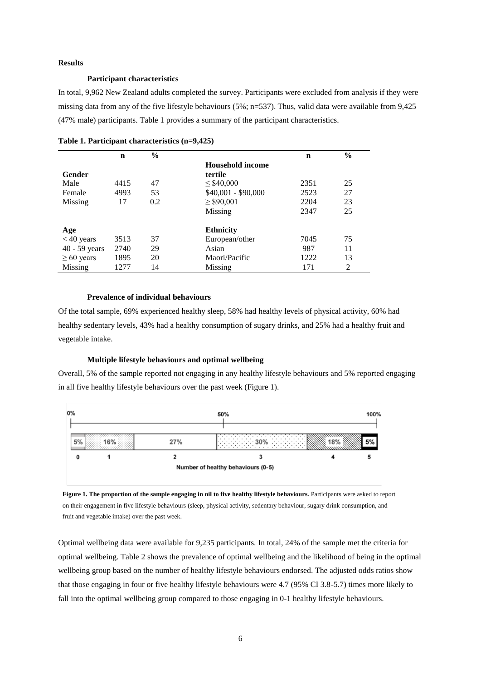#### **Results**

# **Participant characteristics**

In total, 9,962 New Zealand adults completed the survey. Participants were excluded from analysis if they were missing data from any of the five lifestyle behaviours (5%; n=537). Thus, valid data were available from 9,425 (47% male) participants. Table 1 provides a summary of the participant characteristics.

|                 | $\mathbf n$ | $\frac{6}{9}$ |                         | $\mathbf n$ | $\frac{0}{0}$ |  |
|-----------------|-------------|---------------|-------------------------|-------------|---------------|--|
|                 |             |               | <b>Household income</b> |             |               |  |
| Gender          |             |               | tertile                 |             |               |  |
| Male            | 4415        | 47            | $\leq$ \$40,000         | 2351        | 25            |  |
| Female          | 4993        | 53            | \$40,001 - \$90,000     | 2523        | 27            |  |
| Missing         | 17          | 0.2           | $\geq$ \$90,001         | 2204        | 23            |  |
|                 |             |               | Missing                 | 2347        | 25            |  |
| Age             |             |               | <b>Ethnicity</b>        |             |               |  |
| $<$ 40 years    | 3513        | 37            | European/other          | 7045        | 75            |  |
| 40 - 59 years   | 2740        | 29            | Asian                   | 987         | 11            |  |
| $\geq 60$ years | 1895        | 20            | Maori/Pacific           | 1222        | 13            |  |
| <b>Missing</b>  | 1277        | 14            | Missing                 | 171         | 2             |  |

| Table 1. Participant characteristics (n=9,425) |
|------------------------------------------------|
|------------------------------------------------|

# **Prevalence of individual behaviours**

Of the total sample, 69% experienced healthy sleep, 58% had healthy levels of physical activity, 60% had healthy sedentary levels, 43% had a healthy consumption of sugary drinks, and 25% had a healthy fruit and vegetable intake.

### **Multiple lifestyle behaviours and optimal wellbeing**

Overall, 5% of the sample reported not engaging in any healthy lifestyle behaviours and 5% reported engaging in all five healthy lifestyle behaviours over the past week (Figure 1).





Optimal wellbeing data were available for 9,235 participants. In total, 24% of the sample met the criteria for optimal wellbeing. Table 2 shows the prevalence of optimal wellbeing and the likelihood of being in the optimal wellbeing group based on the number of healthy lifestyle behaviours endorsed. The adjusted odds ratios show that those engaging in four or five healthy lifestyle behaviours were 4.7 (95% CI 3.8-5.7) times more likely to fall into the optimal wellbeing group compared to those engaging in 0-1 healthy lifestyle behaviours.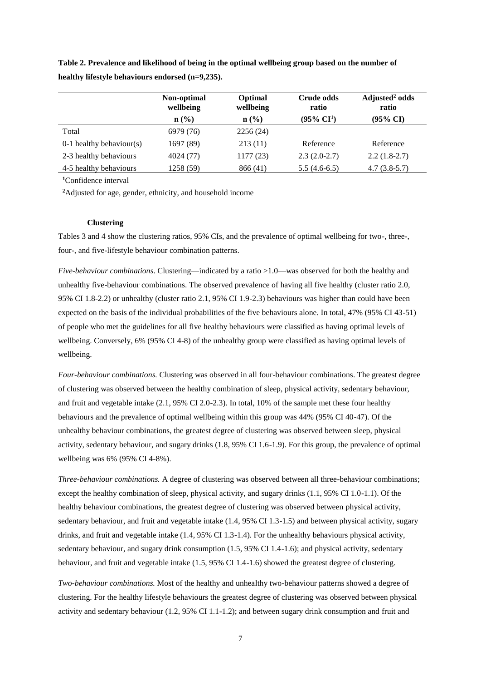|                            | Non-optimal<br>wellbeing    | Optimal<br>wellbeing | Crude odds<br>ratio      | Adjusted <sup>2</sup> odds<br>ratio |
|----------------------------|-----------------------------|----------------------|--------------------------|-------------------------------------|
|                            | $n\left(\frac{0}{0}\right)$ | $\mathbf{n}(\%)$     | $(95\% \ \mathrm{CI}^1)$ | $(95\% \text{ CI})$                 |
| Total                      | 6979 (76)                   | 2256(24)             |                          |                                     |
| $0-1$ healthy behaviour(s) | 1697 (89)                   | 213(11)              | Reference                | Reference                           |
| 2-3 healthy behaviours     | 4024 (77)                   | 1177(23)             | $2.3(2.0-2.7)$           | $2.2(1.8-2.7)$                      |
| 4-5 healthy behaviours     | 1258 (59)                   | 866 (41)             | $5.5(4.6-6.5)$           | $4.7(3.8-5.7)$                      |
|                            |                             |                      |                          |                                     |

**Table 2. Prevalence and likelihood of being in the optimal wellbeing group based on the number of healthy lifestyle behaviours endorsed (n=9,235).**

**<sup>1</sup>**Confidence interval

**<sup>2</sup>**Adjusted for age, gender, ethnicity, and household income

### **Clustering**

Tables 3 and 4 show the clustering ratios, 95% CIs, and the prevalence of optimal wellbeing for two-, three-, four-, and five-lifestyle behaviour combination patterns.

*Five-behaviour combinations*. Clustering—indicated by a ratio >1.0—was observed for both the healthy and unhealthy five-behaviour combinations. The observed prevalence of having all five healthy (cluster ratio 2.0, 95% CI 1.8-2.2) or unhealthy (cluster ratio 2.1, 95% CI 1.9-2.3) behaviours was higher than could have been expected on the basis of the individual probabilities of the five behaviours alone. In total, 47% (95% CI 43-51) of people who met the guidelines for all five healthy behaviours were classified as having optimal levels of wellbeing. Conversely, 6% (95% CI 4-8) of the unhealthy group were classified as having optimal levels of wellbeing.

*Four-behaviour combinations.* Clustering was observed in all four-behaviour combinations. The greatest degree of clustering was observed between the healthy combination of sleep, physical activity, sedentary behaviour, and fruit and vegetable intake (2.1, 95% CI 2.0-2.3). In total, 10% of the sample met these four healthy behaviours and the prevalence of optimal wellbeing within this group was 44% (95% CI 40-47). Of the unhealthy behaviour combinations, the greatest degree of clustering was observed between sleep, physical activity, sedentary behaviour, and sugary drinks (1.8, 95% CI 1.6-1.9). For this group, the prevalence of optimal wellbeing was 6% (95% CI 4-8%).

*Three-behaviour combinations.* A degree of clustering was observed between all three-behaviour combinations; except the healthy combination of sleep, physical activity, and sugary drinks (1.1, 95% CI 1.0-1.1). Of the healthy behaviour combinations, the greatest degree of clustering was observed between physical activity, sedentary behaviour, and fruit and vegetable intake (1.4, 95% CI 1.3-1.5) and between physical activity, sugary drinks, and fruit and vegetable intake (1.4, 95% CI 1.3-1.4). For the unhealthy behaviours physical activity, sedentary behaviour, and sugary drink consumption (1.5, 95% CI 1.4-1.6); and physical activity, sedentary behaviour, and fruit and vegetable intake (1.5, 95% CI 1.4-1.6) showed the greatest degree of clustering.

*Two-behaviour combinations.* Most of the healthy and unhealthy two-behaviour patterns showed a degree of clustering. For the healthy lifestyle behaviours the greatest degree of clustering was observed between physical activity and sedentary behaviour (1.2, 95% CI 1.1-1.2); and between sugary drink consumption and fruit and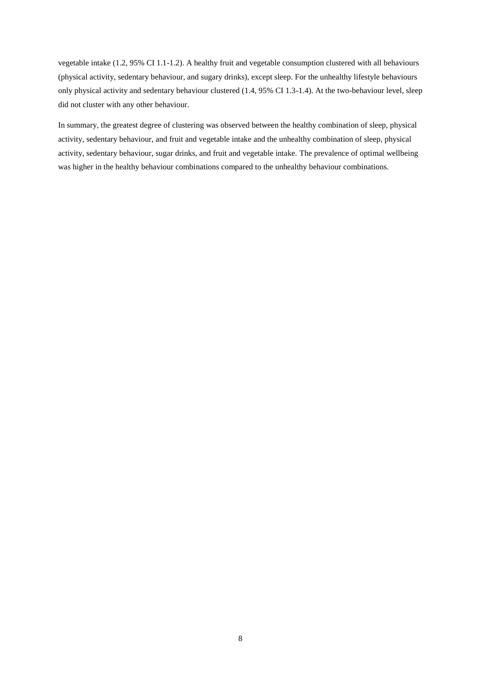vegetable intake (1.2, 95% CI 1.1-1.2). A healthy fruit and vegetable consumption clustered with all behaviours (physical activity, sedentary behaviour, and sugary drinks), except sleep. For the unhealthy lifestyle behaviours only physical activity and sedentary behaviour clustered (1.4, 95% CI 1.3-1.4). At the two-behaviour level, sleep did not cluster with any other behaviour.

In summary, the greatest degree of clustering was observed between the healthy combination of sleep, physical activity, sedentary behaviour, and fruit and vegetable intake and the unhealthy combination of sleep, physical activity, sedentary behaviour, sugar drinks, and fruit and vegetable intake. The prevalence of optimal wellbeing was higher in the healthy behaviour combinations compared to the unhealthy behaviour combinations.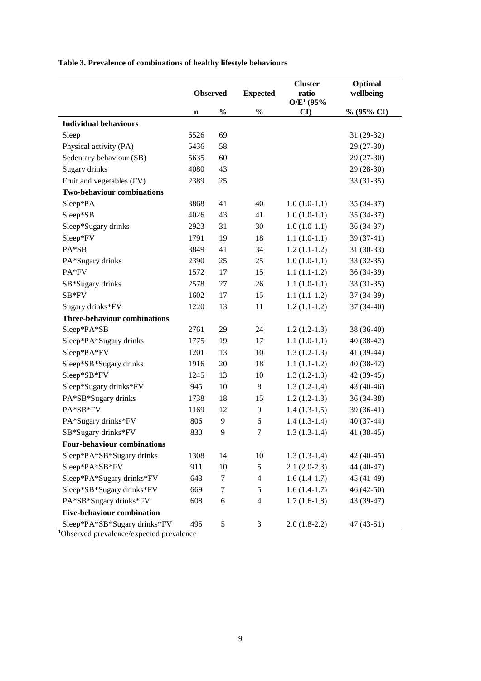**Table 3. Prevalence of combinations of healthy lifestyle behaviours**

|                                     | <b>Observed</b> |               | <b>Expected</b> | <b>Cluster</b><br>ratio<br>$O/E^1$ (95% | Optimal<br>wellbeing |  |
|-------------------------------------|-----------------|---------------|-----------------|-----------------------------------------|----------------------|--|
|                                     | n               | $\frac{0}{0}$ | $\frac{1}{2}$   | $\mathbf{C}$                            | % (95% CI)           |  |
| <b>Individual behaviours</b>        |                 |               |                 |                                         |                      |  |
| Sleep                               | 6526            | 69            |                 |                                         | $31(29-32)$          |  |
| Physical activity (PA)              | 5436            | 58            |                 |                                         | $29(27-30)$          |  |
| Sedentary behaviour (SB)            | 5635            | 60            |                 |                                         | $29(27-30)$          |  |
| Sugary drinks                       | 4080            | 43            |                 |                                         | $29(28-30)$          |  |
| Fruit and vegetables (FV)           | 2389            | 25            |                 |                                         | $33(31-35)$          |  |
| <b>Two-behaviour combinations</b>   |                 |               |                 |                                         |                      |  |
| Sleep*PA                            | 3868            | 41            | 40              | $1.0(1.0-1.1)$                          | $35(34-37)$          |  |
| Sleep*SB                            | 4026            | 43            | 41              | $1.0(1.0-1.1)$                          | 35 (34-37)           |  |
| Sleep*Sugary drinks                 | 2923            | 31            | 30              | $1.0(1.0-1.1)$                          | 36 (34-37)           |  |
| Sleep*FV                            | 1791            | 19            | 18              | $1.1(1.0-1.1)$                          | $39(37-41)$          |  |
| PA*SB                               | 3849            | 41            | 34              | $1.2(1.1-1.2)$                          | $31(30-33)$          |  |
| PA*Sugary drinks                    | 2390            | 25            | 25              | $1.0(1.0-1.1)$                          | $33(32-35)$          |  |
| PA*FV                               | 1572            | 17            | 15              | $1.1(1.1-1.2)$                          | 36 (34-39)           |  |
| SB*Sugary drinks                    | 2578            | 27            | 26              | $1.1(1.0-1.1)$                          | $33(31-35)$          |  |
| SB*FV                               | 1602            | 17            | 15              | $1.1(1.1-1.2)$                          | 37 (34-39)           |  |
| Sugary drinks*FV                    | 1220            | 13            | 11              | $1.2(1.1-1.2)$                          | $37(34-40)$          |  |
| <b>Three-behaviour combinations</b> |                 |               |                 |                                         |                      |  |
| Sleep*PA*SB                         | 2761            | 29            | 24              | $1.2(1.2-1.3)$                          | 38 (36-40)           |  |
| Sleep*PA*Sugary drinks              | 1775            | 19            | 17              | $1.1(1.0-1.1)$                          | 40 (38-42)           |  |
| Sleep*PA*FV                         | 1201            | 13            | 10              | $1.3(1.2-1.3)$                          | 41 (39-44)           |  |
| Sleep*SB*Sugary drinks              | 1916            | 20            | 18              | $1.1(1.1-1.2)$                          | 40 (38-42)           |  |
| Sleep*SB*FV                         | 1245            | 13            | 10              | $1.3(1.2-1.3)$                          | 42 (39-45)           |  |
| Sleep*Sugary drinks*FV              | 945             | 10            | 8               | $1.3(1.2-1.4)$                          | 43 (40-46)           |  |
| PA*SB*Sugary drinks                 | 1738            | 18            | 15              | $1.2(1.2-1.3)$                          | 36 (34-38)           |  |
| PA*SB*FV                            | 1169            | 12            | 9               | $1.4(1.3-1.5)$                          | 39 (36-41)           |  |
| PA*Sugary drinks*FV                 | 806             | 9             | 6               | $1.4(1.3-1.4)$                          | $40(37-44)$          |  |
| SB*Sugary drinks*FV                 | 830             | 9             | $\tau$          | $1.3(1.3-1.4)$                          | 41 (38-45)           |  |
| <b>Four-behaviour combinations</b>  |                 |               |                 |                                         |                      |  |
| Sleep*PA*SB*Sugary drinks           | 1308            | 14            | 10              | $1.3(1.3-1.4)$                          | $42(40-45)$          |  |
| Sleep*PA*SB*FV                      | 911             | 10            | 5               | $2.1(2.0-2.3)$                          | 44 (40-47)           |  |
| Sleep*PA*Sugary drinks*FV           | 643             | $\tau$        | $\overline{4}$  | $1.6(1.4-1.7)$                          | 45 (41-49)           |  |
| Sleep*SB*Sugary drinks*FV           | 669             | $\tau$        | $\sqrt{5}$      | $1.6(1.4-1.7)$                          | $46(42-50)$          |  |
| PA*SB*Sugary drinks*FV              | 608             | 6             | $\overline{4}$  | $1.7(1.6-1.8)$                          | 43 (39-47)           |  |
| <b>Five-behaviour combination</b>   |                 |               |                 |                                         |                      |  |
| Sleep*PA*SB*Sugary drinks*FV        | 495             | $\sqrt{5}$    | 3               | $2.0(1.8-2.2)$                          | 47 (43-51)           |  |

**1**Observed prevalence/expected prevalence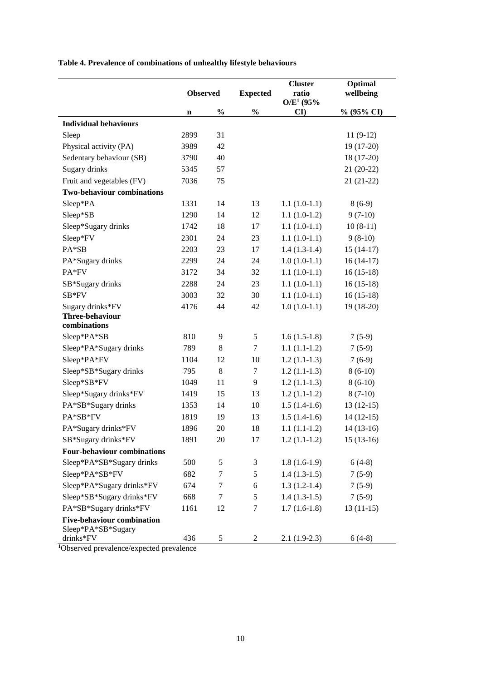**Table 4. Prevalence of combinations of unhealthy lifestyle behaviours**

|                                                         | <b>Observed</b> |               | <b>Expected</b> | <b>Cluster</b><br>ratio<br>$O/E^1$ (95% | Optimal<br>wellbeing |
|---------------------------------------------------------|-----------------|---------------|-----------------|-----------------------------------------|----------------------|
|                                                         | n               | $\frac{0}{0}$ | $\frac{0}{0}$   | $\mathbf{C}\mathbf{I}$                  | % (95% CI)           |
| <b>Individual behaviours</b>                            |                 |               |                 |                                         |                      |
| Sleep                                                   | 2899            | 31            |                 |                                         | $11(9-12)$           |
| Physical activity (PA)                                  | 3989            | 42            |                 |                                         | 19 (17-20)           |
| Sedentary behaviour (SB)                                | 3790            | 40            |                 |                                         | $18(17-20)$          |
| Sugary drinks                                           | 5345            | 57            |                 |                                         | $21(20-22)$          |
| Fruit and vegetables (FV)                               | 7036            | 75            |                 |                                         | $21(21-22)$          |
| <b>Two-behaviour combinations</b>                       |                 |               |                 |                                         |                      |
| Sleep*PA                                                | 1331            | 14            | 13              | $1.1(1.0-1.1)$                          | $8(6-9)$             |
| Sleep*SB                                                | 1290            | 14            | 12              | $1.1(1.0-1.2)$                          | $9(7-10)$            |
| Sleep*Sugary drinks                                     | 1742            | 18            | 17              | $1.1(1.0-1.1)$                          | $10(8-11)$           |
| Sleep*FV                                                | 2301            | 24            | 23              | $1.1(1.0-1.1)$                          | $9(8-10)$            |
| PA*SB                                                   | 2203            | 23            | 17              | $1.4(1.3-1.4)$                          | $15(14-17)$          |
| PA*Sugary drinks                                        | 2299            | 24            | 24              | $1.0(1.0-1.1)$                          | $16(14-17)$          |
| PA*FV                                                   | 3172            | 34            | 32              | $1.1(1.0-1.1)$                          | $16(15-18)$          |
| SB*Sugary drinks                                        | 2288            | 24            | 23              | $1.1(1.0-1.1)$                          | $16(15-18)$          |
| SB*FV                                                   | 3003            | 32            | 30              | $1.1(1.0-1.1)$                          | $16(15-18)$          |
| Sugary drinks*FV                                        | 4176            | 44            | 42              | $1.0(1.0-1.1)$                          | 19 (18-20)           |
| Three-behaviour                                         |                 |               |                 |                                         |                      |
| combinations                                            |                 |               |                 |                                         |                      |
| Sleep*PA*SB                                             | 810             | 9             | 5               | $1.6(1.5-1.8)$                          | $7(5-9)$             |
| Sleep*PA*Sugary drinks                                  | 789             | $\,8\,$       | 7               | $1.1(1.1-1.2)$                          | $7(5-9)$             |
| Sleep*PA*FV                                             | 1104            | 12            | 10              | $1.2(1.1-1.3)$                          | $7(6-9)$             |
| Sleep*SB*Sugary drinks                                  | 795             | $\,8\,$       | 7               | $1.2(1.1-1.3)$                          | $8(6-10)$            |
| Sleep*SB*FV                                             | 1049            | 11            | 9               | $1.2(1.1-1.3)$                          | $8(6-10)$            |
| Sleep*Sugary drinks*FV                                  | 1419            | 15            | 13              | $1.2(1.1-1.2)$                          | $8(7-10)$            |
| PA*SB*Sugary drinks                                     | 1353            | 14            | 10              | $1.5(1.4-1.6)$                          | $13(12-15)$          |
| PA*SB*FV                                                | 1819            | 19            | 13              | $1.5(1.4-1.6)$                          | $14(12-15)$          |
| PA*Sugary drinks*FV                                     | 1896            | 20            | 18              | $1.1(1.1-1.2)$                          | $14(13-16)$          |
| SB*Sugary drinks*FV                                     | 1891            | $20\,$        | 17              | $1.2(1.1-1.2)$                          | $15(13-16)$          |
| <b>Four-behaviour combinations</b>                      |                 |               |                 |                                         |                      |
| Sleep*PA*SB*Sugary drinks                               | 500             | 5             | 3               | $1.8(1.6-1.9)$                          | $6(4-8)$             |
| Sleep*PA*SB*FV                                          | 682             | $\tau$        | 5               | $1.4(1.3-1.5)$                          | $7(5-9)$             |
| Sleep*PA*Sugary drinks*FV                               | 674             | 7             | 6               | $1.3(1.2-1.4)$                          | $7(5-9)$             |
| Sleep*SB*Sugary drinks*FV                               | 668             | 7             | 5               | $1.4(1.3-1.5)$                          | $7(5-9)$             |
| PA*SB*Sugary drinks*FV                                  | 1161            | 12            | $\tau$          | $1.7(1.6-1.8)$                          | $13(11-15)$          |
| <b>Five-behaviour combination</b><br>Sleep*PA*SB*Sugary |                 |               |                 |                                         |                      |
| drinks*FV                                               | 436             | 5             | 2               | $2.1(1.9-2.3)$                          | $6(4-8)$             |

**1**Observed prevalence/expected prevalence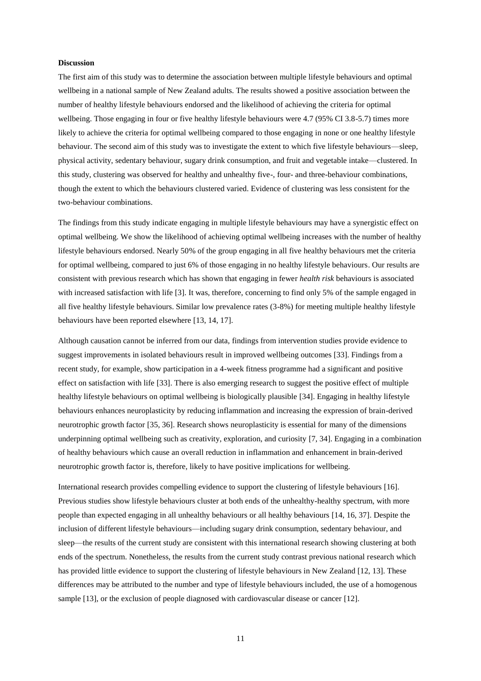### **Discussion**

The first aim of this study was to determine the association between multiple lifestyle behaviours and optimal wellbeing in a national sample of New Zealand adults. The results showed a positive association between the number of healthy lifestyle behaviours endorsed and the likelihood of achieving the criteria for optimal wellbeing. Those engaging in four or five healthy lifestyle behaviours were 4.7 (95% CI 3.8-5.7) times more likely to achieve the criteria for optimal wellbeing compared to those engaging in none or one healthy lifestyle behaviour. The second aim of this study was to investigate the extent to which five lifestyle behaviours—sleep, physical activity, sedentary behaviour, sugary drink consumption, and fruit and vegetable intake—clustered. In this study, clustering was observed for healthy and unhealthy five-, four- and three-behaviour combinations, though the extent to which the behaviours clustered varied. Evidence of clustering was less consistent for the two-behaviour combinations.

The findings from this study indicate engaging in multiple lifestyle behaviours may have a synergistic effect on optimal wellbeing. We show the likelihood of achieving optimal wellbeing increases with the number of healthy lifestyle behaviours endorsed. Nearly 50% of the group engaging in all five healthy behaviours met the criteria for optimal wellbeing, compared to just 6% of those engaging in no healthy lifestyle behaviours. Our results are consistent with previous research which has shown that engaging in fewer *health risk* behaviours is associated with increased satisfaction with life [3]. It was, therefore, concerning to find only 5% of the sample engaged in all five healthy lifestyle behaviours. Similar low prevalence rates (3-8%) for meeting multiple healthy lifestyle behaviours have been reported elsewhere [13, 14, 17].

Although causation cannot be inferred from our data, findings from intervention studies provide evidence to suggest improvements in isolated behaviours result in improved wellbeing outcomes [33]. Findings from a recent study, for example, show participation in a 4-week fitness programme had a significant and positive effect on satisfaction with life [33]. There is also emerging research to suggest the positive effect of multiple healthy lifestyle behaviours on optimal wellbeing is biologically plausible [34]. Engaging in healthy lifestyle behaviours enhances neuroplasticity by reducing inflammation and increasing the expression of brain-derived neurotrophic growth factor [35, 36]. Research shows neuroplasticity is essential for many of the dimensions underpinning optimal wellbeing such as creativity, exploration, and curiosity [7, 34]. Engaging in a combination of healthy behaviours which cause an overall reduction in inflammation and enhancement in brain-derived neurotrophic growth factor is, therefore, likely to have positive implications for wellbeing.

International research provides compelling evidence to support the clustering of lifestyle behaviours [16]. Previous studies show lifestyle behaviours cluster at both ends of the unhealthy-healthy spectrum, with more people than expected engaging in all unhealthy behaviours or all healthy behaviours [14, 16, 37]. Despite the inclusion of different lifestyle behaviours—including sugary drink consumption, sedentary behaviour, and sleep—the results of the current study are consistent with this international research showing clustering at both ends of the spectrum. Nonetheless, the results from the current study contrast previous national research which has provided little evidence to support the clustering of lifestyle behaviours in New Zealand [12, 13]. These differences may be attributed to the number and type of lifestyle behaviours included, the use of a homogenous sample [13], or the exclusion of people diagnosed with cardiovascular disease or cancer [12].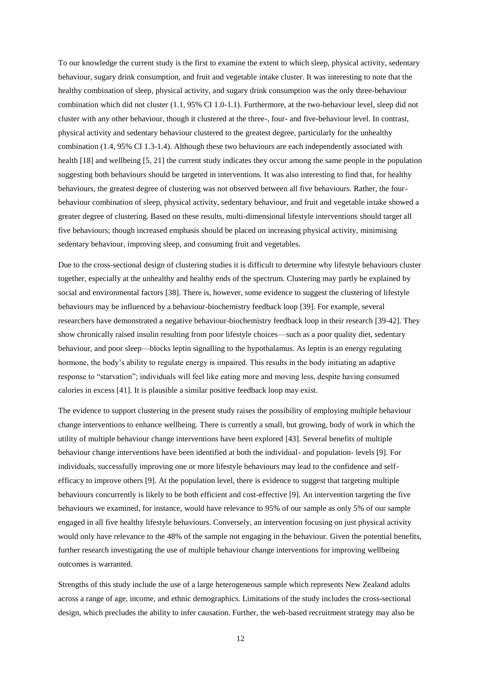To our knowledge the current study is the first to examine the extent to which sleep, physical activity, sedentary behaviour, sugary drink consumption, and fruit and vegetable intake cluster. It was interesting to note that the healthy combination of sleep, physical activity, and sugary drink consumption was the only three-behaviour combination which did not cluster (1.1, 95% CI 1.0-1.1). Furthermore, at the two-behaviour level, sleep did not cluster with any other behaviour, though it clustered at the three-, four- and five-behaviour level. In contrast, physical activity and sedentary behaviour clustered to the greatest degree, particularly for the unhealthy combination (1.4, 95% CI 1.3-1.4). Although these two behaviours are each independently associated with health [18] and wellbeing [5, 21] the current study indicates they occur among the same people in the population suggesting both behaviours should be targeted in interventions. It was also interesting to find that, for healthy behaviours, the greatest degree of clustering was not observed between all five behaviours. Rather, the fourbehaviour combination of sleep, physical activity, sedentary behaviour, and fruit and vegetable intake showed a greater degree of clustering. Based on these results, multi-dimensional lifestyle interventions should target all five behaviours; though increased emphasis should be placed on increasing physical activity, minimising sedentary behaviour, improving sleep, and consuming fruit and vegetables.

Due to the cross-sectional design of clustering studies it is difficult to determine why lifestyle behaviours cluster together, especially at the unhealthy and healthy ends of the spectrum. Clustering may partly be explained by social and environmental factors [38]. There is, however, some evidence to suggest the clustering of lifestyle behaviours may be influenced by a behaviour-biochemistry feedback loop [39]. For example, several researchers have demonstrated a negative behaviour-biochemistry feedback loop in their research [39-42]. They show chronically raised insulin resulting from poor lifestyle choices—such as a poor quality diet, sedentary behaviour, and poor sleep—blocks leptin signalling to the hypothalamus. As leptin is an energy regulating hormone, the body's ability to regulate energy is impaired. This results in the body initiating an adaptive response to "starvation"; individuals will feel like eating more and moving less, despite having consumed calories in excess [41]. It is plausible a similar positive feedback loop may exist.

The evidence to support clustering in the present study raises the possibility of employing multiple behaviour change interventions to enhance wellbeing. There is currently a small, but growing, body of work in which the utility of multiple behaviour change interventions have been explored [43]. Several benefits of multiple behaviour change interventions have been identified at both the individual- and population- levels [9]. For individuals, successfully improving one or more lifestyle behaviours may lead to the confidence and selfefficacy to improve others [9]. At the population level, there is evidence to suggest that targeting multiple behaviours concurrently is likely to be both efficient and cost-effective [9]. An intervention targeting the five behaviours we examined, for instance, would have relevance to 95% of our sample as only 5% of our sample engaged in all five healthy lifestyle behaviours. Conversely, an intervention focusing on just physical activity would only have relevance to the 48% of the sample not engaging in the behaviour. Given the potential benefits, further research investigating the use of multiple behaviour change interventions for improving wellbeing outcomes is warranted.

Strengths of this study include the use of a large heterogeneous sample which represents New Zealand adults across a range of age, income, and ethnic demographics. Limitations of the study includes the cross-sectional design, which precludes the ability to infer causation. Further, the web-based recruitment strategy may also be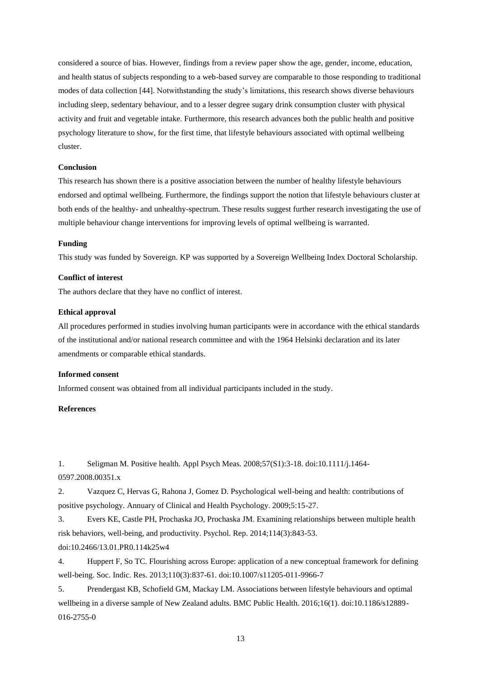considered a source of bias. However, findings from a review paper show the age, gender, income, education, and health status of subjects responding to a web-based survey are comparable to those responding to traditional modes of data collection [44]. Notwithstanding the study's limitations, this research shows diverse behaviours including sleep, sedentary behaviour, and to a lesser degree sugary drink consumption cluster with physical activity and fruit and vegetable intake. Furthermore, this research advances both the public health and positive psychology literature to show, for the first time, that lifestyle behaviours associated with optimal wellbeing cluster.

### **Conclusion**

This research has shown there is a positive association between the number of healthy lifestyle behaviours endorsed and optimal wellbeing. Furthermore, the findings support the notion that lifestyle behaviours cluster at both ends of the healthy- and unhealthy-spectrum. These results suggest further research investigating the use of multiple behaviour change interventions for improving levels of optimal wellbeing is warranted.

# **Funding**

This study was funded by Sovereign. KP was supported by a Sovereign Wellbeing Index Doctoral Scholarship.

# **Conflict of interest**

The authors declare that they have no conflict of interest.

#### **Ethical approval**

All procedures performed in studies involving human participants were in accordance with the ethical standards of the institutional and/or national research committee and with the 1964 Helsinki declaration and its later amendments or comparable ethical standards.

### **Informed consent**

Informed consent was obtained from all individual participants included in the study.

# **References**

1. Seligman M. Positive health. Appl Psych Meas. 2008;57(S1):3-18. doi:10.1111/j.1464- 0597.2008.00351.x

2. Vazquez C, Hervas G, Rahona J, Gomez D. Psychological well-being and health: contributions of positive psychology. Annuary of Clinical and Health Psychology. 2009;5:15-27.

3. Evers KE, Castle PH, Prochaska JO, Prochaska JM. Examining relationships between multiple health risk behaviors, well-being, and productivity. Psychol. Rep. 2014;114(3):843-53. doi:10.2466/13.01.PR0.114k25w4

4. Huppert F, So TC. Flourishing across Europe: application of a new conceptual framework for defining well-being. Soc. Indic. Res. 2013;110(3):837-61. doi:10.1007/s11205-011-9966-7

5. Prendergast KB, Schofield GM, Mackay LM. Associations between lifestyle behaviours and optimal wellbeing in a diverse sample of New Zealand adults. BMC Public Health. 2016;16(1). doi:10.1186/s12889- 016-2755-0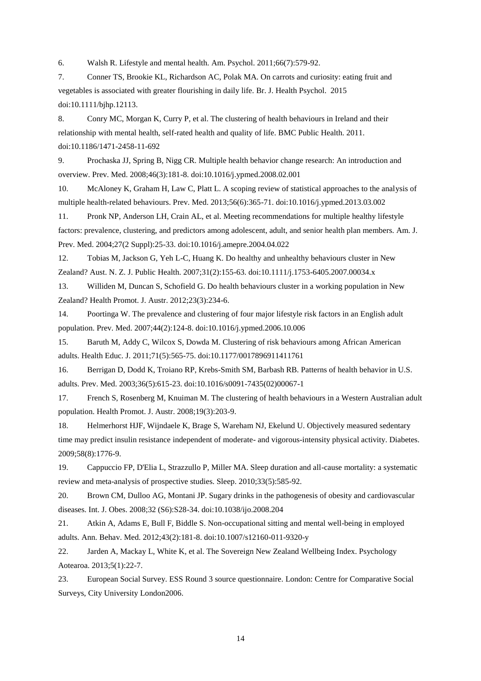6. Walsh R. Lifestyle and mental health. Am. Psychol. 2011;66(7):579-92.

7. Conner TS, Brookie KL, Richardson AC, Polak MA. On carrots and curiosity: eating fruit and vegetables is associated with greater flourishing in daily life. Br. J. Health Psychol. 2015 doi:10.1111/bjhp.12113.

8. Conry MC, Morgan K, Curry P, et al. The clustering of health behaviours in Ireland and their relationship with mental health, self-rated health and quality of life. BMC Public Health. 2011. doi:10.1186/1471-2458-11-692

9. Prochaska JJ, Spring B, Nigg CR. Multiple health behavior change research: An introduction and overview. Prev. Med. 2008;46(3):181-8. doi:10.1016/j.ypmed.2008.02.001

10. McAloney K, Graham H, Law C, Platt L. A scoping review of statistical approaches to the analysis of multiple health-related behaviours. Prev. Med. 2013;56(6):365-71. doi:10.1016/j.ypmed.2013.03.002

11. Pronk NP, Anderson LH, Crain AL, et al. Meeting recommendations for multiple healthy lifestyle factors: prevalence, clustering, and predictors among adolescent, adult, and senior health plan members. Am. J. Prev. Med. 2004;27(2 Suppl):25-33. doi:10.1016/j.amepre.2004.04.022

12. Tobias M, Jackson G, Yeh L-C, Huang K. Do healthy and unhealthy behaviours cluster in New Zealand? Aust. N. Z. J. Public Health. 2007;31(2):155-63. doi:10.1111/j.1753-6405.2007.00034.x

13. Williden M, Duncan S, Schofield G. Do health behaviours cluster in a working population in New Zealand? Health Promot. J. Austr. 2012;23(3):234-6.

14. Poortinga W. The prevalence and clustering of four major lifestyle risk factors in an English adult population. Prev. Med. 2007;44(2):124-8. doi:10.1016/j.ypmed.2006.10.006

15. Baruth M, Addy C, Wilcox S, Dowda M. Clustering of risk behaviours among African American adults. Health Educ. J. 2011;71(5):565-75. doi:10.1177/0017896911411761

16. Berrigan D, Dodd K, Troiano RP, Krebs-Smith SM, Barbash RB. Patterns of health behavior in U.S. adults. Prev. Med. 2003;36(5):615-23. doi:10.1016/s0091-7435(02)00067-1

17. French S, Rosenberg M, Knuiman M. The clustering of health behaviours in a Western Australian adult population. Health Promot. J. Austr. 2008;19(3):203-9.

18. Helmerhorst HJF, Wijndaele K, Brage S, Wareham NJ, Ekelund U. Objectively measured sedentary time may predict insulin resistance independent of moderate- and vigorous-intensity physical activity. Diabetes. 2009;58(8):1776-9.

19. Cappuccio FP, D'Elia L, Strazzullo P, Miller MA. Sleep duration and all-cause mortality: a systematic review and meta-analysis of prospective studies. Sleep. 2010;33(5):585-92.

20. Brown CM, Dulloo AG, Montani JP. Sugary drinks in the pathogenesis of obesity and cardiovascular diseases. Int. J. Obes. 2008;32 (S6):S28-34. doi:10.1038/ijo.2008.204

21. Atkin A, Adams E, Bull F, Biddle S. Non-occupational sitting and mental well-being in employed adults. Ann. Behav. Med. 2012;43(2):181-8. doi:10.1007/s12160-011-9320-y

22. Jarden A, Mackay L, White K, et al. The Sovereign New Zealand Wellbeing Index. Psychology Aotearoa. 2013;5(1):22-7.

23. European Social Survey. ESS Round 3 source questionnaire. London: Centre for Comparative Social Surveys, City University London2006.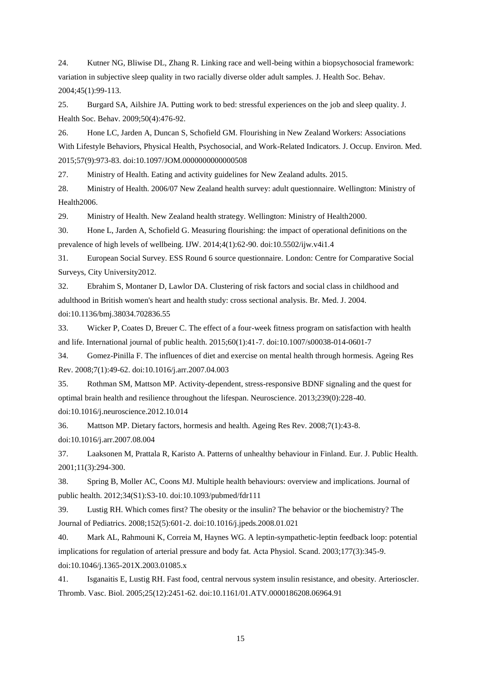24. Kutner NG, Bliwise DL, Zhang R. Linking race and well-being within a biopsychosocial framework: variation in subjective sleep quality in two racially diverse older adult samples. J. Health Soc. Behav. 2004;45(1):99-113.

25. Burgard SA, Ailshire JA. Putting work to bed: stressful experiences on the job and sleep quality. J. Health Soc. Behav. 2009;50(4):476-92.

26. Hone LC, Jarden A, Duncan S, Schofield GM. Flourishing in New Zealand Workers: Associations With Lifestyle Behaviors, Physical Health, Psychosocial, and Work-Related Indicators. J. Occup. Environ. Med. 2015;57(9):973-83. doi:10.1097/JOM.0000000000000508

27. Ministry of Health. Eating and activity guidelines for New Zealand adults. 2015.

28. Ministry of Health. 2006/07 New Zealand health survey: adult questionnaire. Wellington: Ministry of Health2006.

29. Ministry of Health. New Zealand health strategy. Wellington: Ministry of Health2000.

30. Hone L, Jarden A, Schofield G. Measuring flourishing: the impact of operational definitions on the prevalence of high levels of wellbeing. IJW. 2014;4(1):62-90. doi:10.5502/ijw.v4i1.4

31. European Social Survey. ESS Round 6 source questionnaire. London: Centre for Comparative Social Surveys, City University2012.

32. Ebrahim S, Montaner D, Lawlor DA. Clustering of risk factors and social class in childhood and adulthood in British women's heart and health study: cross sectional analysis. Br. Med. J. 2004. doi:10.1136/bmj.38034.702836.55

33. Wicker P, Coates D, Breuer C. The effect of a four-week fitness program on satisfaction with health and life. International journal of public health. 2015;60(1):41-7. doi:10.1007/s00038-014-0601-7

34. Gomez-Pinilla F. The influences of diet and exercise on mental health through hormesis. Ageing Res Rev. 2008;7(1):49-62. doi:10.1016/j.arr.2007.04.003

35. Rothman SM, Mattson MP. Activity-dependent, stress-responsive BDNF signaling and the quest for optimal brain health and resilience throughout the lifespan. Neuroscience. 2013;239(0):228-40. doi:10.1016/j.neuroscience.2012.10.014

36. Mattson MP. Dietary factors, hormesis and health. Ageing Res Rev. 2008;7(1):43-8.

doi:10.1016/j.arr.2007.08.004

37. Laaksonen M, Prattala R, Karisto A. Patterns of unhealthy behaviour in Finland. Eur. J. Public Health. 2001;11(3):294-300.

38. Spring B, Moller AC, Coons MJ. Multiple health behaviours: overview and implications. Journal of public health. 2012;34(S1):S3-10. doi:10.1093/pubmed/fdr111

39. Lustig RH. Which comes first? The obesity or the insulin? The behavior or the biochemistry? The Journal of Pediatrics. 2008;152(5):601-2. doi:10.1016/j.jpeds.2008.01.021

40. Mark AL, Rahmouni K, Correia M, Haynes WG. A leptin-sympathetic-leptin feedback loop: potential implications for regulation of arterial pressure and body fat. Acta Physiol. Scand. 2003;177(3):345-9. doi:10.1046/j.1365-201X.2003.01085.x

41. Isganaitis E, Lustig RH. Fast food, central nervous system insulin resistance, and obesity. Arterioscler. Thromb. Vasc. Biol. 2005;25(12):2451-62. doi:10.1161/01.ATV.0000186208.06964.91